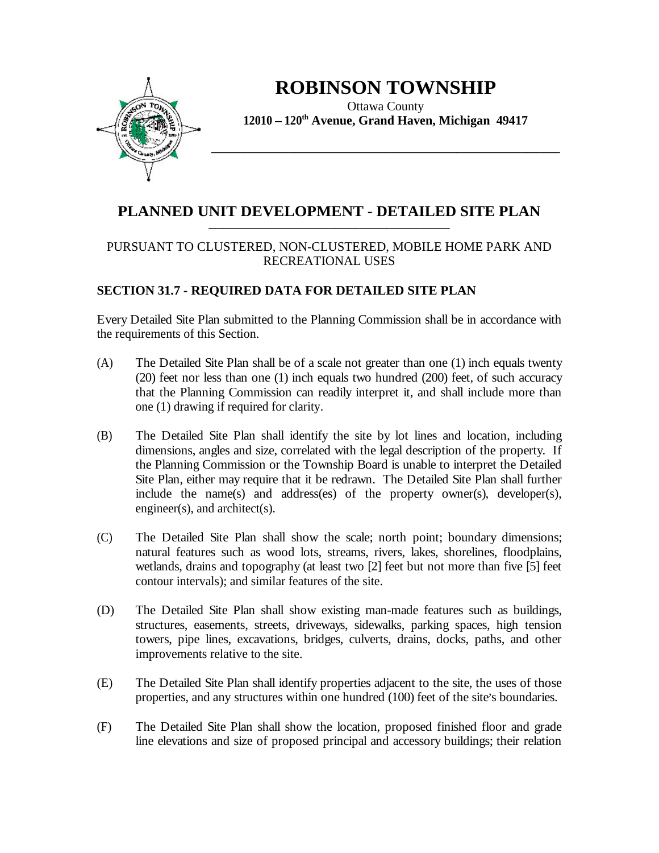

## **ROBINSON TOWNSHIP**

Ottawa County **12010 120th Avenue, Grand Haven, Michigan 49417**

**\_\_\_\_\_\_\_\_\_\_\_\_\_\_\_\_\_\_\_\_\_\_\_\_\_\_\_\_\_\_\_\_\_\_\_\_\_\_\_\_\_\_\_\_\_\_\_\_\_\_\_\_\_\_**

**\_\_\_\_\_\_\_\_\_\_\_\_\_\_\_\_\_\_\_\_\_\_\_\_\_\_\_\_\_\_\_\_\_\_\_\_\_\_\_\_\_\_\_\_\_\_\_\_\_\_\_\_\_\_\_\_**

## **PLANNED UNIT DEVELOPMENT - DETAILED SITE PLAN**

## PURSUANT TO CLUSTERED, NON-CLUSTERED, MOBILE HOME PARK AND RECREATIONAL USES

## **SECTION 31.7 - REQUIRED DATA FOR DETAILED SITE PLAN**

Every Detailed Site Plan submitted to the Planning Commission shall be in accordance with the requirements of this Section.

- $(A)$  The Detailed Site Plan shall be of a scale not greater than one  $(1)$  inch equals twenty (20) feet nor less than one (1) inch equals two hundred (200) feet, of such accuracy that the Planning Commission can readily interpret it, and shall include more than one (1) drawing if required for clarity.
- (B) The Detailed Site Plan shall identify the site by lot lines and location, including dimensions, angles and size, correlated with the legal description of the property. If the Planning Commission or the Township Board is unable to interpret the Detailed Site Plan, either may require that it be redrawn. The Detailed Site Plan shall further include the name(s) and address(es) of the property owner(s), developer(s), engineer(s), and architect(s).
- (C) The Detailed Site Plan shall show the scale; north point; boundary dimensions; natural features such as wood lots, streams, rivers, lakes, shorelines, floodplains, wetlands, drains and topography (at least two [2] feet but not more than five [5] feet contour intervals); and similar features of the site.
- (D) The Detailed Site Plan shall show existing man-made features such as buildings, structures, easements, streets, driveways, sidewalks, parking spaces, high tension towers, pipe lines, excavations, bridges, culverts, drains, docks, paths, and other improvements relative to the site.
- (E) The Detailed Site Plan shall identify properties adjacent to the site, the uses of those properties, and any structures within one hundred (100) feet of the site's boundaries.
- (F) The Detailed Site Plan shall show the location, proposed finished floor and grade line elevations and size of proposed principal and accessory buildings; their relation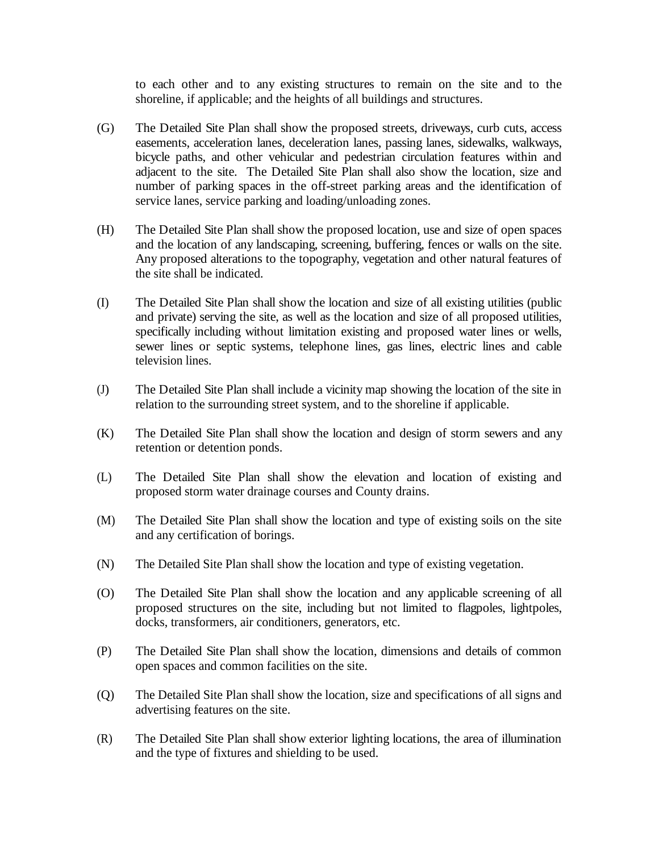to each other and to any existing structures to remain on the site and to the shoreline, if applicable; and the heights of all buildings and structures.

- (G) The Detailed Site Plan shall show the proposed streets, driveways, curb cuts, access easements, acceleration lanes, deceleration lanes, passing lanes, sidewalks, walkways, bicycle paths, and other vehicular and pedestrian circulation features within and adjacent to the site. The Detailed Site Plan shall also show the location, size and number of parking spaces in the off-street parking areas and the identification of service lanes, service parking and loading/unloading zones.
- (H) The Detailed Site Plan shall show the proposed location, use and size of open spaces and the location of any landscaping, screening, buffering, fences or walls on the site. Any proposed alterations to the topography, vegetation and other natural features of the site shall be indicated.
- (I) The Detailed Site Plan shall show the location and size of all existing utilities (public and private) serving the site, as well as the location and size of all proposed utilities, specifically including without limitation existing and proposed water lines or wells, sewer lines or septic systems, telephone lines, gas lines, electric lines and cable television lines.
- (J) The Detailed Site Plan shall include a vicinity map showing the location of the site in relation to the surrounding street system, and to the shoreline if applicable.
- (K) The Detailed Site Plan shall show the location and design of storm sewers and any retention or detention ponds.
- (L) The Detailed Site Plan shall show the elevation and location of existing and proposed storm water drainage courses and County drains.
- (M) The Detailed Site Plan shall show the location and type of existing soils on the site and any certification of borings.
- (N) The Detailed Site Plan shall show the location and type of existing vegetation.
- (O) The Detailed Site Plan shall show the location and any applicable screening of all proposed structures on the site, including but not limited to flagpoles, lightpoles, docks, transformers, air conditioners, generators, etc.
- (P) The Detailed Site Plan shall show the location, dimensions and details of common open spaces and common facilities on the site.
- (Q) The Detailed Site Plan shall show the location, size and specifications of all signs and advertising features on the site.
- (R) The Detailed Site Plan shall show exterior lighting locations, the area of illumination and the type of fixtures and shielding to be used.